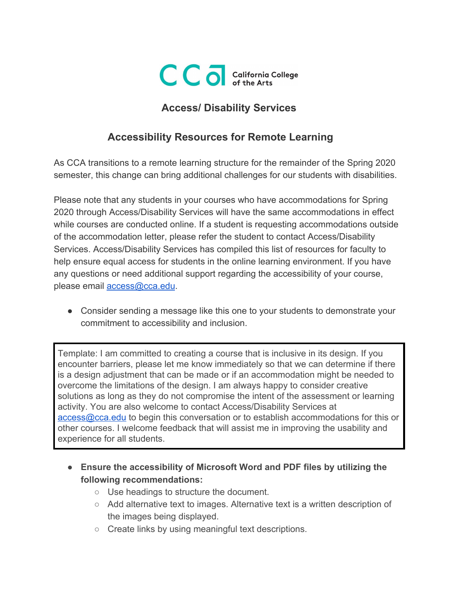

## **Access/ Disability Services**

## **Accessibility Resources for Remote Learning**

As CCA transitions to a remote learning structure for the remainder of the Spring 2020 semester, this change can bring additional challenges for our students with disabilities.

Please note that any students in your courses who have accommodations for Spring 2020 through Access/Disability Services will have the same accommodations in effect while courses are conducted online. If a student is requesting accommodations outside of the accommodation letter, please refer the student to contact Access/Disability Services. Access/Disability Services has compiled this list of resources for faculty to help ensure equal access for students in the online learning environment. If you have any questions or need additional support regarding the accessibility of your course, please email [access@cca.edu](mailto:access@cca.edu).

● Consider sending a message like this one to your students to demonstrate your commitment to accessibility and inclusion.

Template: I am committed to creating a course that is inclusive in its design. If you encounter barriers, please let me know immediately so that we can determine if there is a design adjustment that can be made or if an accommodation might be needed to overcome the limitations of the design. I am always happy to consider creative solutions as long as they do not compromise the intent of the assessment or learning activity. You are also welcome to contact Access/Disability Services at [access@cca.edu](mailto:access@cca.edu) to begin this conversation or to establish accommodations for this or other courses. I welcome feedback that will assist me in improving the usability and experience for all students.

- **● Ensure the accessibility of Microsoft Word and PDF files by utilizing the following recommendations:**
	- Use headings to structure the document.
	- Add alternative text to images. Alternative text is a written description of the images being displayed.
	- Create links by using meaningful text descriptions.